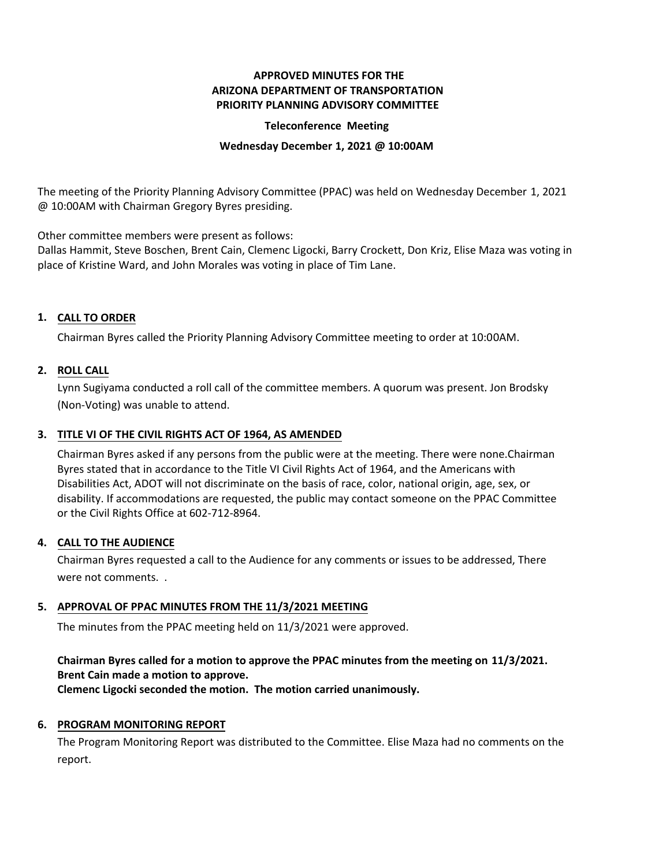# **APPROVED MINUTES FOR THE ARIZONA DEPARTMENT OF TRANSPORTATION PRIORITY PLANNING ADVISORY COMMITTEE**

### **Teleconference Meeting**

#### **Wednesday December 1, 2021 @ 10:00AM**

The meeting of the Priority Planning Advisory Committee (PPAC) was held on Wednesday December 1, 2021 @ 10:00AM with Chairman Gregory Byres presiding.

Other committee members were present as follows:

Dallas Hammit, Steve Boschen, Brent Cain, Clemenc Ligocki, Barry Crockett, Don Kriz, Elise Maza was voting in place of Kristine Ward, and John Morales was voting in place of Tim Lane.

# **CALL TO ORDER 1.**

Chairman Byres called the Priority Planning Advisory Committee meeting to order at 10:00AM.

## **ROLL CALL 2.**

Lynn Sugiyama conducted a roll call of the committee members. A quorum was present. Jon Brodsky (Non-Voting) was unable to attend.

## **TITLE VI OF THE CIVIL RIGHTS ACT OF 1964, AS AMENDED 3.**

Chairman Byres asked if any persons from the public were at the meeting. There were none.Chairman Byres stated that in accordance to the Title VI Civil Rights Act of 1964, and the Americans with Disabilities Act, ADOT will not discriminate on the basis of race, color, national origin, age, sex, or disability. If accommodations are requested, the public may contact someone on the PPAC Committee or the Civil Rights Office at 602-712-8964.

#### **CALL TO THE AUDIENCE 4.**

Chairman Byres requested a call to the Audience for any comments or issues to be addressed, There were not comments. .

## **APPROVAL OF PPAC MINUTES FROM THE 11/3/2021 MEETING 5.**

The minutes from the PPAC meeting held on 11/3/2021 were approved.

### **Chairman Byres called for a motion to approve the PPAC minutes from the meeting on 11/3/2021. Brent Cain made a motion to approve.**

**Clemenc Ligocki seconded the motion. The motion carried unanimously.**

## **6. PROGRAM MONITORING REPORT**

The Program Monitoring Report was distributed to the Committee. Elise Maza had no comments on the report.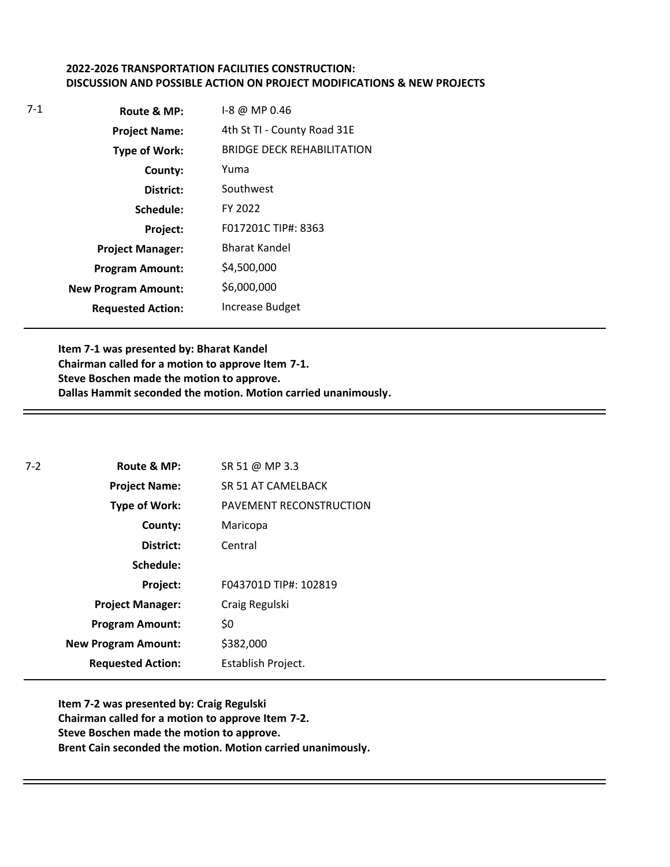# **2022-2026 TRANSPORTATION FACILITIES CONSTRUCTION: DISCUSSION AND POSSIBLE ACTION ON PROJECT MODIFICATIONS & NEW PROJECTS**

| $7-1$ | Route & MP:                | 1-8 @ MP 0.46                     |
|-------|----------------------------|-----------------------------------|
|       | <b>Project Name:</b>       | 4th St TI - County Road 31E       |
|       | Type of Work:              | <b>BRIDGE DECK REHABILITATION</b> |
|       | County:                    | Yuma                              |
|       | District:                  | Southwest                         |
|       | Schedule:                  | FY 2022                           |
|       | Project:                   | F017201C TIP#: 8363               |
|       | <b>Project Manager:</b>    | <b>Bharat Kandel</b>              |
|       | <b>Program Amount:</b>     | \$4,500,000                       |
|       | <b>New Program Amount:</b> | \$6,000,000                       |
|       | <b>Requested Action:</b>   | <b>Increase Budget</b>            |

**Item 7-1 was presented by: Bharat Kandel Chairman called for a motion to approve Item 7-1. Steve Boschen made the motion to approve. Dallas Hammit seconded the motion. Motion carried unanimously.**

| $7 - 2$ | Route & MP:                | SR 51 @ MP 3.3          |
|---------|----------------------------|-------------------------|
|         | <b>Project Name:</b>       | SR 51 AT CAMELBACK      |
|         | <b>Type of Work:</b>       | PAVEMENT RECONSTRUCTION |
|         | County:                    | Maricopa                |
|         | District:                  | Central                 |
|         | Schedule:                  |                         |
|         | Project:                   | F043701D TIP#: 102819   |
|         | <b>Project Manager:</b>    | Craig Regulski          |
|         | <b>Program Amount:</b>     | \$0                     |
|         | <b>New Program Amount:</b> | \$382,000               |
|         | <b>Requested Action:</b>   | Establish Project.      |

**Item 7-2 was presented by: Craig Regulski Chairman called for a motion to approve Item 7-2. Steve Boschen made the motion to approve. Brent Cain seconded the motion. Motion carried unanimously.**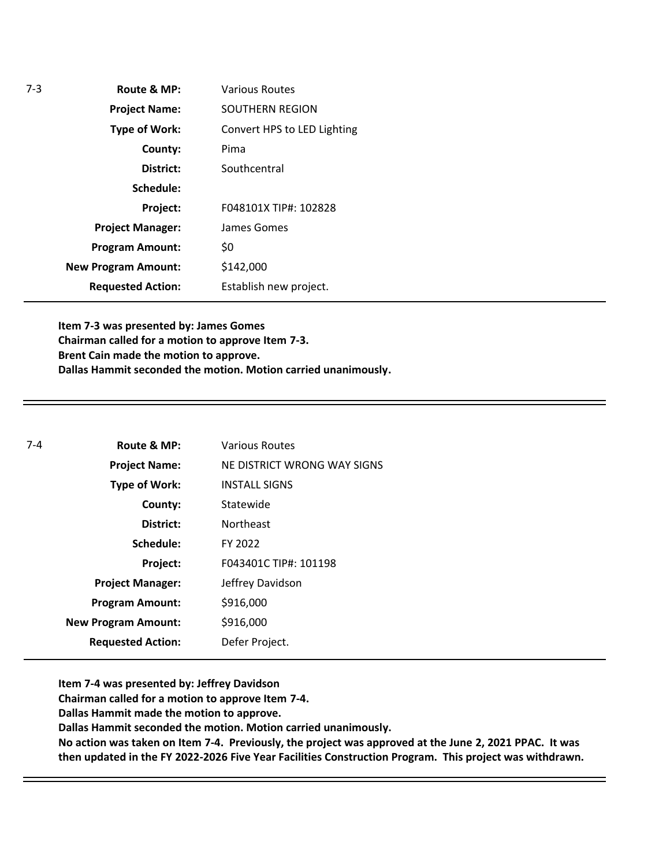| Various Routes              |
|-----------------------------|
| SOUTHERN REGION             |
| Convert HPS to LED Lighting |
| Pima                        |
| Southcentral                |
|                             |
| F048101X TIP#: 102828       |
| James Gomes                 |
| \$0                         |
| \$142,000                   |
| Establish new project.      |
|                             |

**Item 7-3 was presented by: James Gomes Chairman called for a motion to approve Item 7-3. Brent Cain made the motion to approve. Dallas Hammit seconded the motion. Motion carried unanimously.**

| Route & MP:                | <b>Various Routes</b>       |
|----------------------------|-----------------------------|
| <b>Project Name:</b>       | NE DISTRICT WRONG WAY SIGNS |
| Type of Work:              | <b>INSTALL SIGNS</b>        |
| County:                    | Statewide                   |
| District:                  | <b>Northeast</b>            |
| Schedule:                  | FY 2022                     |
| Project:                   | F043401C TIP#: 101198       |
| <b>Project Manager:</b>    | Jeffrey Davidson            |
| <b>Program Amount:</b>     | \$916,000                   |
| <b>New Program Amount:</b> | \$916,000                   |
| <b>Requested Action:</b>   | Defer Project.              |
|                            |                             |

**Item 7-4 was presented by: Jeffrey Davidson**

**Chairman called for a motion to approve Item 7-4.**

**Dallas Hammit made the motion to approve.**

**Dallas Hammit seconded the motion. Motion carried unanimously.** 

**No action was taken on Item 7-4. Previously, the project was approved at the June 2, 2021 PPAC. It was then updated in the FY 2022-2026 Five Year Facilities Construction Program. This project was withdrawn.**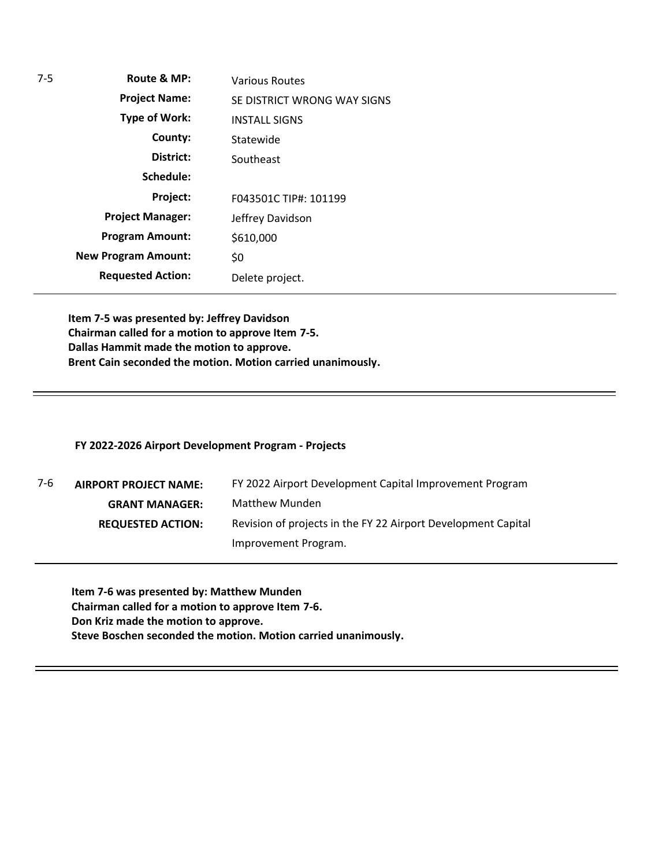| $7-5$ | Route & MP:                | <b>Various Routes</b>       |
|-------|----------------------------|-----------------------------|
|       | <b>Project Name:</b>       | SE DISTRICT WRONG WAY SIGNS |
|       | <b>Type of Work:</b>       | <b>INSTALL SIGNS</b>        |
|       | County:                    | Statewide                   |
|       | District:                  | Southeast                   |
|       | Schedule:                  |                             |
|       | Project:                   | F043501C TIP#: 101199       |
|       | <b>Project Manager:</b>    | Jeffrey Davidson            |
|       | <b>Program Amount:</b>     | \$610,000                   |
|       | <b>New Program Amount:</b> | \$0                         |
|       | <b>Requested Action:</b>   | Delete project.             |
|       |                            |                             |

**Item 7-5 was presented by: Jeffrey Davidson Chairman called for a motion to approve Item 7-5. Dallas Hammit made the motion to approve. Brent Cain seconded the motion. Motion carried unanimously.**

### **FY 2022-2026 Airport Development Program - Projects**

| 7-6 | <b>AIRPORT PROJECT NAME:</b> | FY 2022 Airport Development Capital Improvement Program       |
|-----|------------------------------|---------------------------------------------------------------|
|     | <b>GRANT MANAGER:</b>        | <b>Matthew Munden</b>                                         |
|     | <b>REQUESTED ACTION:</b>     | Revision of projects in the FY 22 Airport Development Capital |
|     |                              | Improvement Program.                                          |

**Item 7-6 was presented by: Matthew Munden Chairman called for a motion to approve Item 7-6. Don Kriz made the motion to approve. Steve Boschen seconded the motion. Motion carried unanimously.**